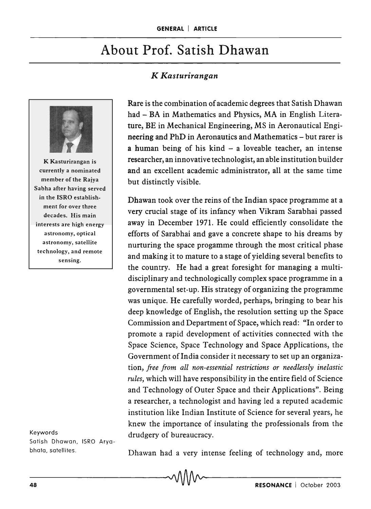## About Prof. Satish Dhawan

## *K Kasturirangan*



K Kasturirangan is currently a nominated member of the Rajya Sabha after having served in the ISRO establishment for over three decades. His main interests are high energy astronomy, optical astronomy, satellite technology, and remote sensing.

## Keywords

Satish Dhawan, ISRO Aryabhata, satellites.

Rare is the combination of academic degrees that Satish Dhawan had - BA in Mathematics and Physics, MA in English Literature, BE in Mechanical Engineering, MS in Aeronautical Engineering and PhD in Aeronautics and Mathematics – but rarer is a human being of his kind  $-$  a loveable teacher, an intense researcher, an innovative technologist, an able institution builder and an excellent academic administrator, all at the same time but distinctly visible.

Dhawan took over the reins of the Indian space programme at a very crucial stage of its infancy when Vikram Sarabhai passed away in December 1971. He could efficiently consolidate the efforts of Sarabhai and gave a concrete shape to his dreams by nurturing the space progamme through the most critical phase and making it to mature to a stage of yielding several benefits to the country. He had a great foresight for managing a multidisciplinary and technologically complex space programme in a governmental set-up. His strategy of organizing the programme was unique. He carefully worded, perhaps, bringing to bear his deep knowledge of English, the resolution setting up the Space Commission and Department of Space, which read: "In order to promote a rapid development of activities connected with the Space Science, Space Technology and Space Applications, the Government of India consider it necessary to set up an organization, *free from all non-essential restrictions or needlessly inelastic rules,* which will have responsibility in the entire field of Science and Technology of Outer Space and their Applications". Being a researcher, a technologist and having led a reputed academic institution like Indian Institute of Science for several years, he knew the importance of insulating the professionals from the drudgery of bureaucracy.

Dhawan had a very intense feeling of technology and, more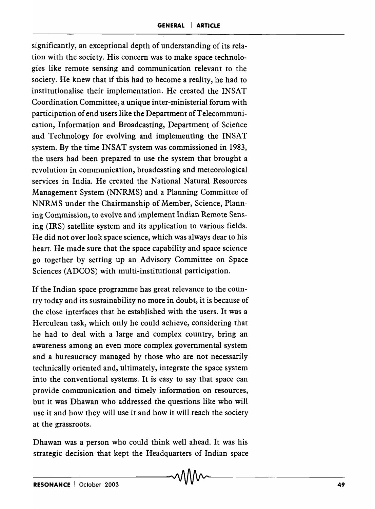significantly, an exceptional depth of understanding of its relation with the society. His concern was to make space technologies like remote sensing and communication relevant to the society. He knew that if this had to become a reality, he had to institutionalise their implementation. He created the INSAT Coordination Committee, a unique inter-ministerial forum with participation of end users like the Department ofTelecommunication, Information and Broadcasting, Department of Science and Technology for evolving and implementing the INSAT system. By the time INSAT system was commissioned in 1983, the users had been prepared to use the system that brought a revolution in communication, broadcasting and meteorological services in India. He created the National Natural Resources Management System (NNRMS) and a Planning Committee of NNRMS under the Chairmanship of Member, Science, Planning Commission, to evolve and implement Indian Remote Sensing (IRS) satellite system and its application to various fields. He did not over look space science, which was always dear to his heart. He made sure that the space capability and space science go together by setting up an Advisory Committee on Space Sciences (ADCOS) with multi-institutional participation.

If the Indian space programme has great relevance to the country today and its sustainability no more in doubt, it is because of the close interfaces that he established with the users. It was a Herculean task, which only he could achieve, considering that he had to deal with a large and complex country, bring an awareness among an even more complex governmental system and a bureaucracy managed by those who are not necessarily technically oriented and, ultimately, integrate the space system into the conventional systems. It is easy to say that space can provide communication and timely information on resources, but it was Dhawan who addressed the questions like who will use it and how they will use it and how it will reach the society at the grassroots.

Dhawan was a person who could think well ahead. It was his strategic decision that kept the Headquarters of Indian space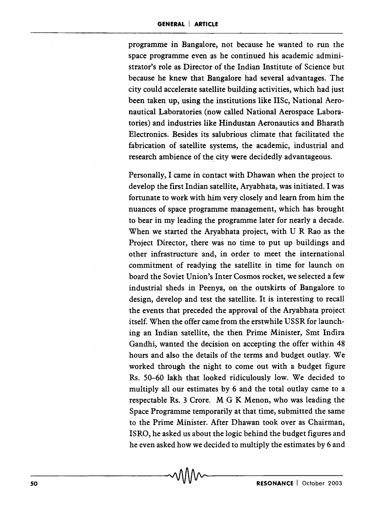programme in Bangalore, not because he wanted to run the space programme even as he continued his academic administrator's role as Director of the Indian Institute of Science but because he knew that Bangalore had several advantages. The city could accelerate satellite building activities, which had just been taken up, using the institutions like IISc, National Aeronautical Laboratories (now called National Aerospace Laboratories) and industries like Hindustan Aeronautics and Bharath Electronics. Besides its salubrious climate that facilitated the fabrication of satellite systems, the academic, industrial and research ambience of the city were decidedly advantageous.

Personally, I came in contact with Dhawan when the project to develop the first Indian satellite, Aryabhata, was initiated. I was fortunate to work with him very closely and learn from him the nuances of space programme management, which has brought to bear in my leading the programme later for nearly a decade. When we started the Aryabhata project, with U R Rao as the Project Director, there was no time to put up buildings and other infrastructure and, in order to meet the international commitment of readying the satellite in time for launch on board the Soviet Union's Inter Cosmos rocket, we selected a few industrial sheds in Peenya, on the outskirts of Bangalore to design, develop and test the satellite. It is interesting to recall the events that preceded the approval of the Aryabhata project itself. When the offer came from the erstwhile USSR for launching an Indian satellite, the then Prime Minister, Smt Indira Gandhi, wanted the decision on accepting the offer within 48 hours and also the details of the terms and budget outlay. We worked through the night to come out with a budget figure Rs. 50-60 lakh that looked ridiculously low. We decided to multiply all our estimates by 6 and the total outlay came to a respectable Rs. 3 Crore. M G K Menon, who was leading the Space Programme temporarily at that time, submitted the same to the Prime Minister. After Dhawan took over as Chairman, ISRO, he asked us about the logic behind the budget figures and he even asked how we decided to multiply the estimates by 6 and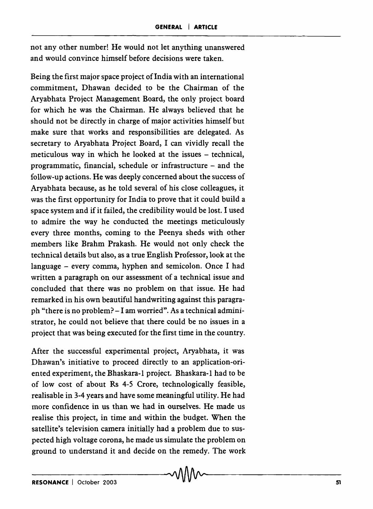not any other number! He would not let anything unanswered and would convince himself before decisions were taken.

Being the first major space project of India with an international commitment, Dhawan decided to be the Chairman of the Aryabhata Project Management Board, the only project board for which he was the Chairman. He always believed that he should not be directly in charge of major activities himself but make sure that works and responsibilities are delegated. As secretary to Aryabhata Project Board, I can vividly recall the meticulous way in which he looked at the issues - technical, programmatic, financial, schedule or infrastructure - and the follow-up actions. He was deeply concerned about the success of Aryabhata because, as he told several of his close colleagues, it was the first opportunity for India to prove that it could build a space system and if it failed, the credibility would be lost. I used to admire the way he conducted the meetings meticulously every three months, coming to the Peenya sheds with other members like Brahm Prakash. He would not only check the technical details but also, as a true English Professor, look at the language - every comma, hyphen and semicolon. Once I had written a paragraph on our assessment of a technical issue and concluded that there was no problem on that issue. He had remarked in his own beautiful handwriting against this paragraph "there is no problem? - I am worried". As a technical administrator, he could not believe that there could be no issues in a project that was being executed for the first time in the country.

After the successful experimental project, Aryabhata, it was Dhawan's initiative to proceed directly to an application-orien ted experiment, the Bhaskara-l project. Bhaskara-l had to be of low cost of about Rs 4-5 Crore, technologically feasible, realisable in 3-4 years and have some meaningful utility. He had more confidence in us than we had in ourselves. He made us realise this project, in time and within the budget. When the satellite's television camera initially had a problem due to suspected high voltage corona, he made us simulate the problem on ground to understand it and decide on the remedy. The work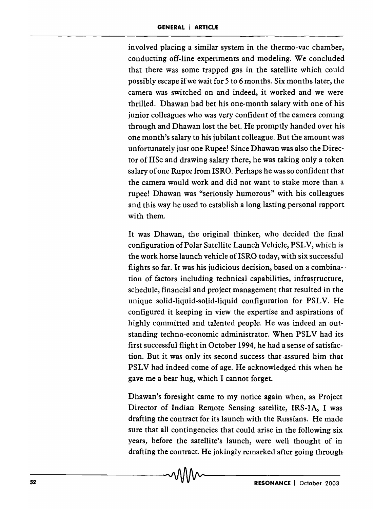involved placing a similar system in the thermo-vac chamber, conducting off-line experiments and modeling. We concluded that there was some trapped gas in the satellite which could possibly escape if we wait for 5 to 6 months. Six months later, the camera was switched on and indeed, it worked and we were thrilled. Dhawan had bet his one-month salary with one of his junior colleagues who was very confident of the camera coming through and Dhawan lost the bet. He promptly handed over his one month's salary to his jubilant colleague. But the amount was unfortunately just one Rupee! Since Dhawan was also the Director of IISc and drawing salary there, he was taking only a token salary of one Rupee from ISRO. Perhaps he was so confident that the camera would work and did not want to stake more than a rupee! Dhawan was "seriously humorous" with his colleagues and this way he used to establish a long lasting personal rapport with them.

It was Dhawan, the original thinker, who decided the final configuration of Polar Satellite Launch Vehicle, PSLV, which is the work horse launch vehicle of ISRO today, with six successful flights so far. It was his judicious decision, based on a combination of factors including technical capabilities, infrastructure, schedule, financial and project management that resulted in the unique solid-liquid-solid-liquid configuration for PSLV. He configured it keeping in view the expertise and aspirations of highly committed and talented people. He was indeed an outstanding techno-economic administrator. When PSLV had its first successful flight in October 1994, he had a sense of satisfaction. But it was only its second success that assured him that PSLV had indeed come of age. He acknowledged this when he gave me a bear hug, which I cannot forget.

Dhawan's foresight came to my notice again when, as Project Director of Indian Remote Sensing satellite, IRS-lA, I was drafting the contract for its launch with the Russians. He made sure that all contingencies that could arise in the following six years, before the satellite's launch, were well thought of in drafting the contract. He jokingly remarked after going through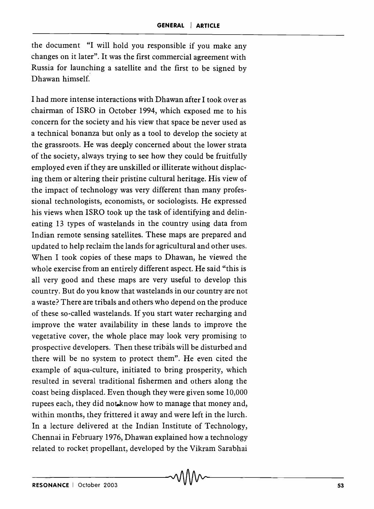the document "I will hold you responsible if you make any changes on it later". It was the first commercial agreement with Russia for launching a satellite and the first to be signed by Dhawan himself.

I had more intense interactions with Dhawan after I took over as chairman of ISRO in October 1994, which exposed me to his concern for the society and his view that space be never used as a technical bonanza but only as a tool to develop the society at the grassroots. He was deeply concerned ahout the lower strata of the society, always trying to see how they could be fruitfully employed even if they are unskilled or illiterate without displacing them or altering their pristine cultural heritage. His view of the impact of technology was very different than many professional technologists, economists, or sociologists. He expressed his views when ISRO took up the task of identifying and delineating 13 types of wastelands in the country using data from Indian remote sensing satellites. These maps are prepared and updated to help reclaim the lands for agricultural and other uses. When I took copies of these maps to Dhawan, he viewed the whole exercise from an entirely different aspect. He said "this is all very good and these maps are very useful to develop this country. But do you know that wastelands in our country are not a waste? There are tribals and others who depend on the produce of these so-called wastelands. If you start water recharging and improve the water availability in these lands to improve the vegetative cover, the whole place may look very promising to prospective developers. Then these tribals will be disturbed and there will be no system to protect them". He even cited the example of aqua-culture, initiated to bring prosperity, which resulted in several traditional fishermen and others along the coast being displaced. Even though they were given some 10,000 rupees each, they did not know how to manage that money and, within months, they frittered it away and were left in the lurch. In a lecture delivered at the Indian Institute of Technology, Chennai in February 1976, Dhawan explained how a technology related to rocket propellant, developed by the Vikram Sarabhai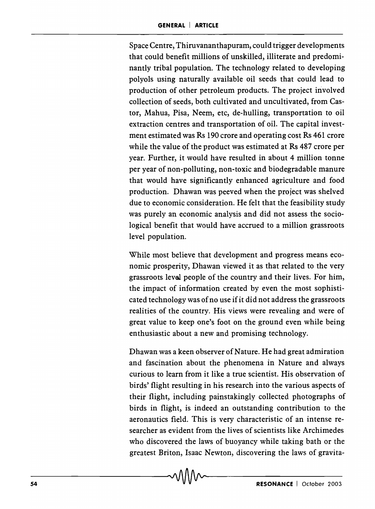Space Centre, Thiruvananthapuram, could trigger developments that could benefit millions of unskilled, illiterate and predominantly tribal population. The technology related to developing polyols using naturally available oil seeds that could lead to production of other petroleum products. The project involved collection of seeds, both cultivated and uncultivated, from Castor, Mahua, Pisa, Neem, etc, de-hulling, transportation to oil extraction centres and transportation of oil. The capital investment estimated was Rs 190 crore and operating cost Rs 461 crore while the value of the product was estimated at Rs 487 crore per year. Further, it would have resulted in about 4 million tonne per year of non-polluting, non-toxic and biodegradable manure that would have significantly enhanced agriculture and food production. Dhawan was peeved when the project was shelved due to economic consideration. He felt that the feasibility study was purely an economic analysis and did not assess the sociological benefit that would have accrued to a million grassroots level population.

While most believe that development and progress means economic prosperity, Dhawan viewed it as that related to the very grassroots leval people of the country and their lives. For him, the impact of information created by even the most sophisticated technology was of no use if it did not address the grassroots realities of the country. His views were revealing and were of great value to keep one's foot on the ground even while being enthusiastic about a new and promising technology.

Dhawan was a keen observer of Nature. He had great admiration and fascination about the phenomena in Nature and always curious to learn from it like a true scientist. His observation of birds' flight resulting in his research into the various aspects of their flight, including painstakingly collected photographs of birds in flight, is indeed an outstanding contribution to the aeronautics field. This is very characteristic of an intense researcher as evident from the lives of scientists like Archimedes who discovered the laws of buoyancy while taking bath or the greatest Briton, Isaac Newton, discovering the laws of gravita-